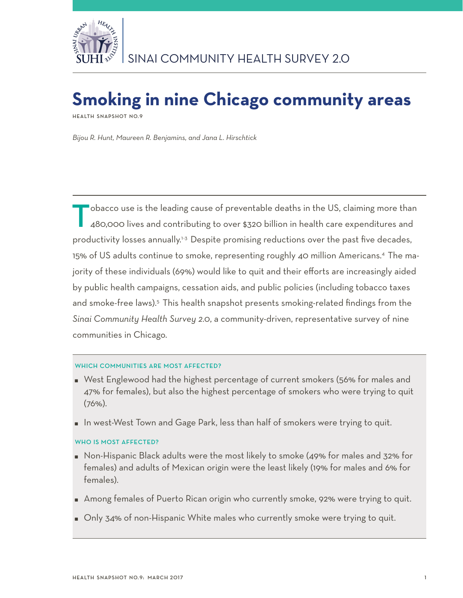

# **Smoking in nine Chicago community areas**

**Health Snapshot No.9**

*Bijou R. Hunt, Maureen R. Benjamins, and Jana L. Hirschtick*

obacco use is the leading cause of preventable deaths in the US, claiming more than 480,000 lives and contributing to over \$320 billion in health care expenditures and productivity losses annually.<sup>1-3</sup> Despite promising reductions over the past five decades, 15% of US adults continue to smoke, representing roughly 40 million Americans.4 The majority of these individuals (69%) would like to quit and their efforts are increasingly aided by public health campaigns, cessation aids, and public policies (including tobacco taxes and smoke-free laws).<sup>5</sup> This health snapshot presents smoking-related findings from the *Sinai Community Health Survey 2.0*, a community-driven, representative survey of nine communities in Chicago.

## WHICH COMMUNITIES ARE MOST AFFECTED?

- West Englewood had the highest percentage of current smokers (56% for males and 47% for females), but also the highest percentage of smokers who were trying to quit (76%).
- In west-West Town and Gage Park, less than half of smokers were trying to quit.

## WHO IS MOST AFFECTED?

- Non-Hispanic Black adults were the most likely to smoke (49% for males and 32% for females) and adults of Mexican origin were the least likely (19% for males and 6% for females).
- Among females of Puerto Rican origin who currently smoke, 92% were trying to quit.
- Only 34% of non-Hispanic White males who currently smoke were trying to quit.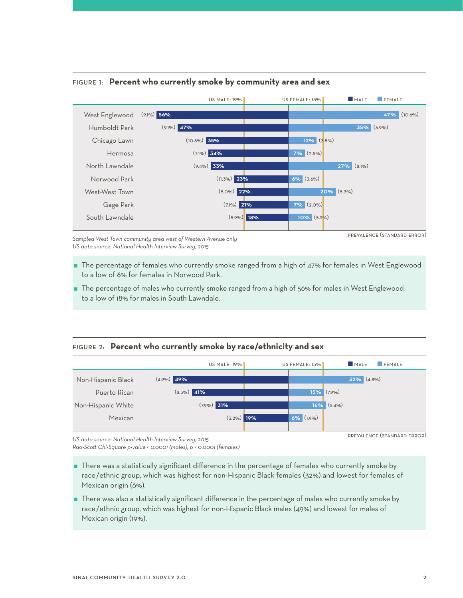

#### Figure 1: **Percent who currently smoke by community area and sex**

*Sampled West Town community area west of Western Avenue only US data source: National Health Interview Survey, 2015* 

prevalence (standard error)

- The percentage of females who currently smoke ranged from a high of 47% for females in West Englewood to a low of 6% for females in Norwood Park.
- The percentage of males who currently smoke ranged from a high of 56% for males in West Englewood to a low of 18% for males in South Lawndale.

## Figure 2: **Percent who currently smoke by race/ethnicity and sex**



*US data source: National Health Interview Survey, 2015* 

*Rao-Scott Chi-Square p-value < 0.0001 (males); p < 0.0001 (females)*

- There was a statistically significant difference in the percentage of females who currently smoke by race/ethnic group, which was highest for non-Hispanic Black females (32%) and lowest for females of Mexican origin (6%).
- There was also a statistically significant difference in the percentage of males who currently smoke by race/ethnic group, which was highest for non-Hispanic Black males (49%) and lowest for males of Mexican origin (19%).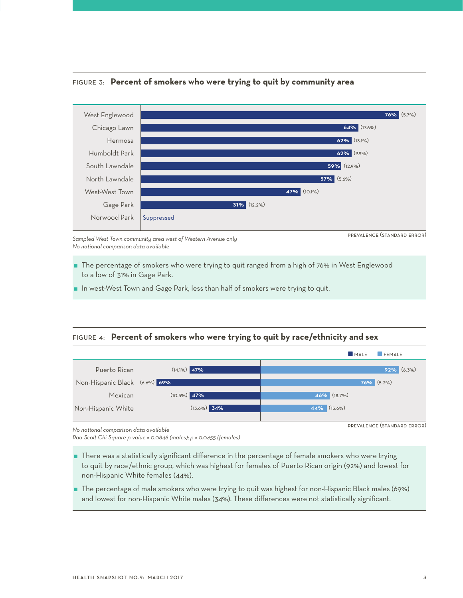

### Figure 3: **Percent of smokers who were trying to quit by community area**

*Sampled West Town community area west of Western Avenue only No national comparison data available*

- The percentage of smokers who were trying to quit ranged from a high of 76% in West Englewood to a low of 31% in Gage Park.
- $\blacksquare$  In west-West Town and Gage Park, less than half of smokers were trying to quit.

## Figure 4: **Percent of smokers who were trying to quit by race/ethnicity and sex**



*No national comparison data available*

*Rao-Scott Chi-Square p-value = 0.0848 (males); p = 0.0455 (females)*

- There was a statistically significant difference in the percentage of female smokers who were trying to quit by race/ethnic group, which was highest for females of Puerto Rican origin (92%) and lowest for non-Hispanic White females (44%).
- The percentage of male smokers who were trying to quit was highest for non-Hispanic Black males (69%) and lowest for non-Hispanic White males (34%). These differences were not statistically significant.